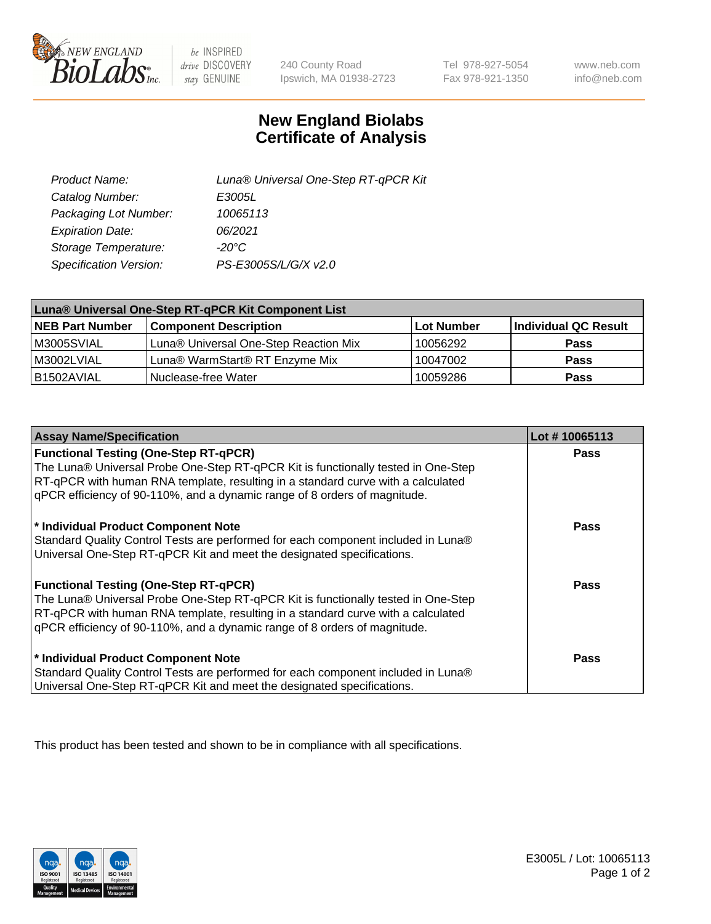

 $be$  INSPIRED drive DISCOVERY stay GENUINE

240 County Road Ipswich, MA 01938-2723

Tel 978-927-5054 Fax 978-921-1350

www.neb.com info@neb.com

## **New England Biolabs Certificate of Analysis**

| Product Name:           | Luna® Universal One-Step RT-qPCR Kit |
|-------------------------|--------------------------------------|
| Catalog Number:         | E3005L                               |
| Packaging Lot Number:   | 10065113                             |
| <b>Expiration Date:</b> | 06/2021                              |
| Storage Temperature:    | $-20^{\circ}$ C                      |
| Specification Version:  | PS-E3005S/L/G/X v2.0                 |

| Luna® Universal One-Step RT-qPCR Kit Component List |                                       |            |                      |  |
|-----------------------------------------------------|---------------------------------------|------------|----------------------|--|
| <b>NEB Part Number</b>                              | <b>Component Description</b>          | Lot Number | Individual QC Result |  |
| M3005SVIAL                                          | Luna® Universal One-Step Reaction Mix | 10056292   | <b>Pass</b>          |  |
| M3002LVIAL                                          | Luna® WarmStart® RT Enzyme Mix        | 10047002   | <b>Pass</b>          |  |
| B1502AVIAL                                          | Nuclease-free Water                   | 10059286   | <b>Pass</b>          |  |

| <b>Assay Name/Specification</b>                                                                                                                                                                                                                    | Lot #10065113 |
|----------------------------------------------------------------------------------------------------------------------------------------------------------------------------------------------------------------------------------------------------|---------------|
| <b>Functional Testing (One-Step RT-qPCR)</b><br>The Luna® Universal Probe One-Step RT-qPCR Kit is functionally tested in One-Step                                                                                                                  | <b>Pass</b>   |
| RT-qPCR with human RNA template, resulting in a standard curve with a calculated<br>gPCR efficiency of 90-110%, and a dynamic range of 8 orders of magnitude.                                                                                      |               |
| * Individual Product Component Note<br>Standard Quality Control Tests are performed for each component included in Luna®<br>Universal One-Step RT-qPCR Kit and meet the designated specifications.                                                 | Pass          |
| <b>Functional Testing (One-Step RT-qPCR)</b>                                                                                                                                                                                                       | Pass          |
| The Luna® Universal Probe One-Step RT-qPCR Kit is functionally tested in One-Step<br>RT-qPCR with human RNA template, resulting in a standard curve with a calculated<br>gPCR efficiency of 90-110%, and a dynamic range of 8 orders of magnitude. |               |
| * Individual Product Component Note                                                                                                                                                                                                                | <b>Pass</b>   |
| Standard Quality Control Tests are performed for each component included in Luna®<br>Universal One-Step RT-qPCR Kit and meet the designated specifications.                                                                                        |               |

This product has been tested and shown to be in compliance with all specifications.